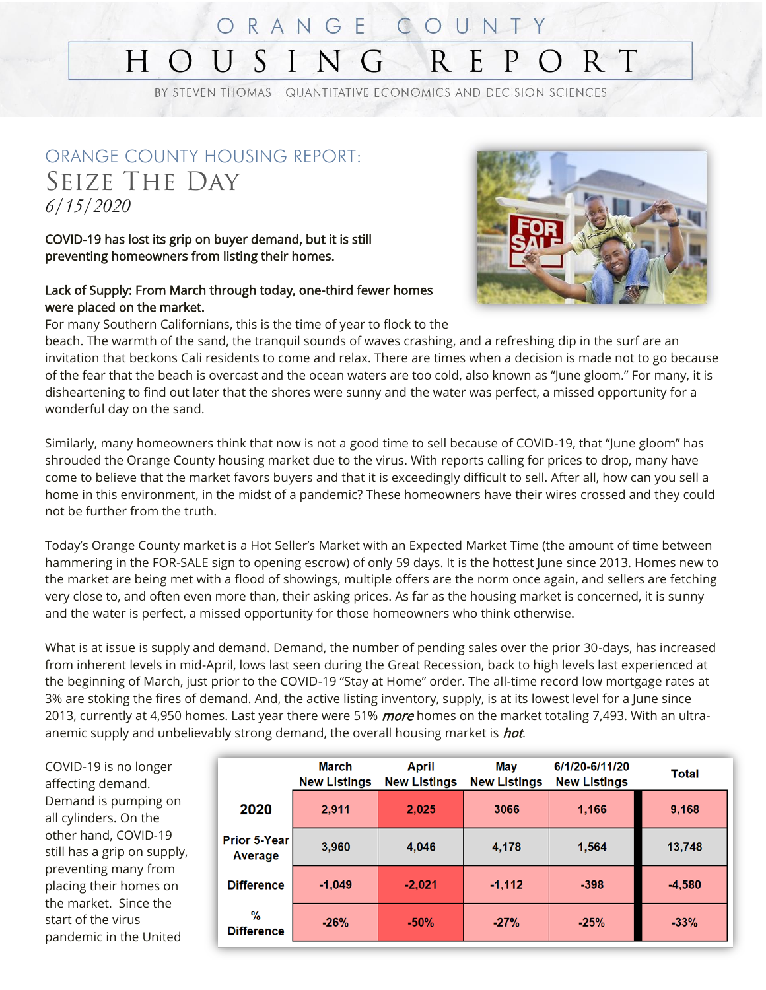#### ORANGE COUNTY HOUSIN R E P  $O R T$

BY STEVEN THOMAS - QUANTITATIVE ECONOMICS AND DECISION SCIENCES

#### ORANGE COUNTY HOUSING REPORT: Seize The Day *6/15/2020*

COVID-19 has lost its grip on buyer demand, but it is still preventing homeowners from listing their homes.

#### **Lack of Supply: From March through today, one-third fewer homes** were placed on the market.



For many Southern Californians, this is the time of year to flock to the

beach. The warmth of the sand, the tranquil sounds of waves crashing, and a refreshing dip in the surf are an invitation that beckons Cali residents to come and relax. There are times when a decision is made not to go because of the fear that the beach is overcast and the ocean waters are too cold, also known as "June gloom." For many, it is disheartening to find out later that the shores were sunny and the water was perfect, a missed opportunity for a wonderful day on the sand.

Similarly, many homeowners think that now is not a good time to sell because of COVID-19, that "June gloom" has shrouded the Orange County housing market due to the virus. With reports calling for prices to drop, many have come to believe that the market favors buyers and that it is exceedingly difficult to sell. After all, how can you sell a home in this environment, in the midst of a pandemic? These homeowners have their wires crossed and they could not be further from the truth.

Today's Orange County market is a Hot Seller's Market with an Expected Market Time (the amount of time between hammering in the FOR-SALE sign to opening escrow) of only 59 days. It is the hottest June since 2013. Homes new to the market are being met with a flood of showings, multiple offers are the norm once again, and sellers are fetching very close to, and often even more than, their asking prices. As far as the housing market is concerned, it is sunny and the water is perfect, a missed opportunity for those homeowners who think otherwise.

What is at issue is supply and demand. Demand, the number of pending sales over the prior 30-days, has increased from inherent levels in mid-April, lows last seen during the Great Recession, back to high levels last experienced at the beginning of March, just prior to the COVID-19 "Stay at Home" order. The all-time record low mortgage rates at 3% are stoking the fires of demand. And, the active listing inventory, supply, is at its lowest level for a June since 2013, currently at 4,950 homes. Last year there were 51% more homes on the market totaling 7,493. With an ultraanemic supply and unbelievably strong demand, the overall housing market is *hot*.

COVID-19 is no longer affecting demand. Demand is pumping on all cylinders. On the other hand, COVID-19 still has a grip on supply, preventing many from placing their homes on the market. Since the start of the virus pandemic in the United

|                                | March<br><b>New Listings</b> | April<br><b>New Listings</b> | May<br><b>New Listings</b> | 6/1/20-6/11/20<br><b>New Listings</b> | Total    |
|--------------------------------|------------------------------|------------------------------|----------------------------|---------------------------------------|----------|
| 2020                           | 2,911                        | 2,025                        | 3066                       | 1,166                                 | 9,168    |
| <b>Prior 5-Year</b><br>Average | 3,960                        | 4,046                        | 4,178                      | 1,564                                 | 13,748   |
| <b>Difference</b>              | $-1,049$                     | $-2,021$                     | $-1,112$                   | $-398$                                | $-4,580$ |
| $\%$<br><b>Difference</b>      | $-26%$                       | $-50%$                       | $-27%$                     | $-25%$                                | $-33%$   |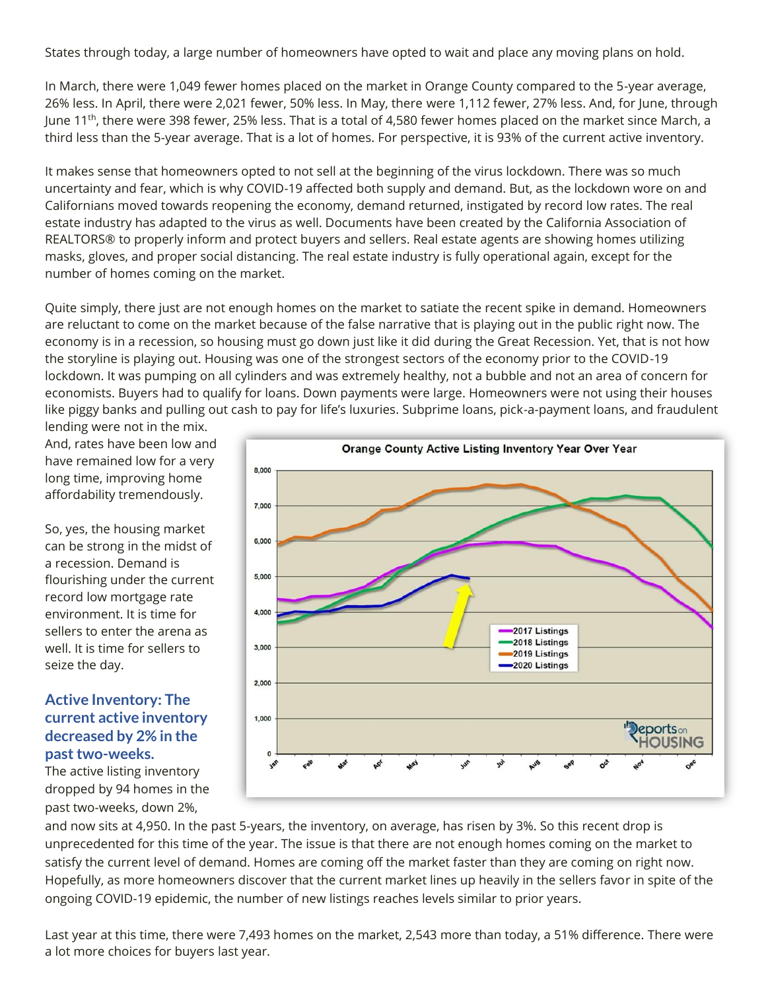States through today, a large number of homeowners have opted to wait and place any moving plans on hold.

In March, there were 1,049 fewer homes placed on the market in Orange County compared to the 5-year average, 26% less. In April, there were 2,021 fewer, 50% less. In May, there were 1,112 fewer, 27% less. And, for June, through June 11th, there were 398 fewer, 25% less. That is a total of 4,580 fewer homes placed on the market since March, a third less than the 5-year average. That is a lot of homes. For perspective, it is 93% of the current active inventory.

It makes sense that homeowners opted to not sell at the beginning of the virus lockdown. There was so much uncertainty and fear, which is why COVID-19 affected both supply and demand. But, as the lockdown wore on and Californians moved towards reopening the economy, demand returned, instigated by record low rates. The real estate industry has adapted to the virus as well. Documents have been created by the California Association of REALTORS® to properly inform and protect buyers and sellers. Real estate agents are showing homes utilizing masks, gloves, and proper social distancing. The real estate industry is fully operational again, except for the number of homes coming on the market.

Quite simply, there just are not enough homes on the market to satiate the recent spike in demand. Homeowners are reluctant to come on the market because of the false narrative that is playing out in the public right now. The economy is in a recession, so housing must go down just like it did during the Great Recession. Yet, that is not how the storyline is playing out. Housing was one of the strongest sectors of the economy prior to the COVID-19 lockdown. It was pumping on all cylinders and was extremely healthy, not a bubble and not an area of concern for economists. Buyers had to qualify for loans. Down payments were large. Homeowners were not using their houses like piggy banks and pulling out cash to pay for life's luxuries. Subprime loans, pick-a-payment loans, and fraudulent

lending were not in the mix. And, rates have been low and have remained low for a very long time, improving home affordability tremendously.

So, yes, the housing market can be strong in the midst of a recession. Demand is flourishing under the current record low mortgage rate environment. It is time for sellers to enter the arena as well. It is time for sellers to seize the day.

#### **Active Inventory: The current active inventory decreased by 2% in the past two-weeks.**

The active listing inventory dropped by 94 homes in the past two-weeks, down 2%,



and now sits at 4,950. In the past 5-years, the inventory, on average, has risen by 3%. So this recent drop is unprecedented for this time of the year. The issue is that there are not enough homes coming on the market to satisfy the current level of demand. Homes are coming off the market faster than they are coming on right now. Hopefully, as more homeowners discover that the current market lines up heavily in the sellers favor in spite of the ongoing COVID-19 epidemic, the number of new listings reaches levels similar to prior years.

Last year at this time, there were 7,493 homes on the market, 2,543 more than today, a 51% difference. There were a lot more choices for buyers last year.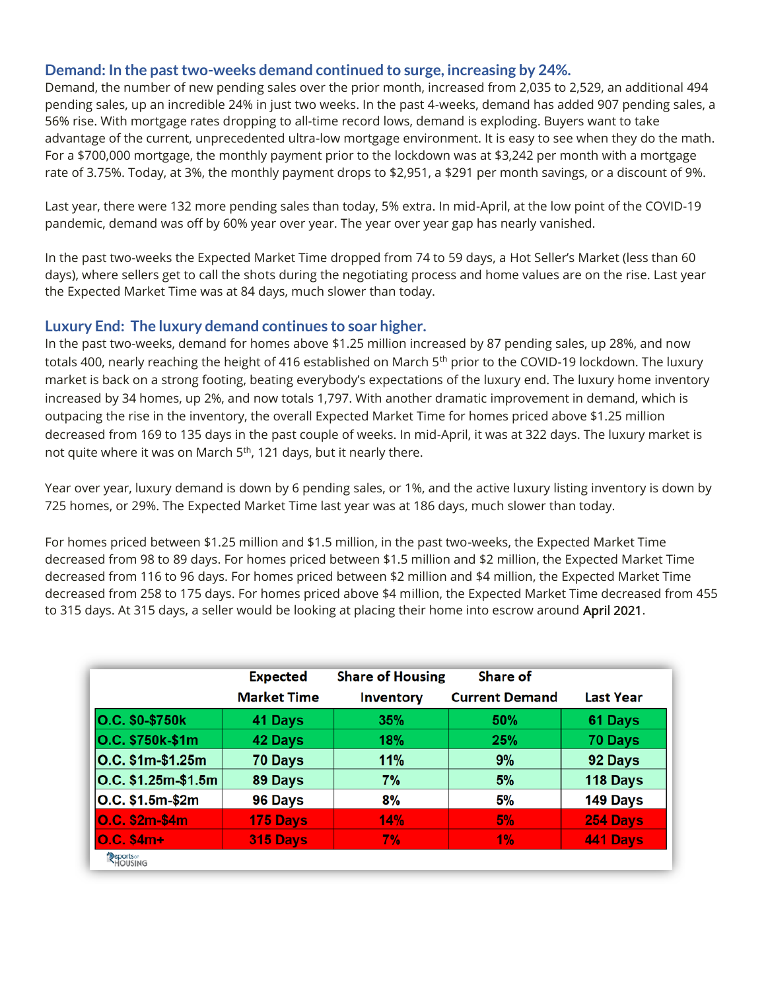#### **Demand: In the past two-weeks demand continued to surge, increasing by 24%.**

Demand, the number of new pending sales over the prior month, increased from 2,035 to 2,529, an additional 494 pending sales, up an incredible 24% in just two weeks. In the past 4-weeks, demand has added 907 pending sales, a 56% rise. With mortgage rates dropping to all-time record lows, demand is exploding. Buyers want to take advantage of the current, unprecedented ultra-low mortgage environment. It is easy to see when they do the math. For a \$700,000 mortgage, the monthly payment prior to the lockdown was at \$3,242 per month with a mortgage rate of 3.75%. Today, at 3%, the monthly payment drops to \$2,951, a \$291 per month savings, or a discount of 9%.

Last year, there were 132 more pending sales than today, 5% extra. In mid-April, at the low point of the COVID-19 pandemic, demand was off by 60% year over year. The year over year gap has nearly vanished.

In the past two-weeks the Expected Market Time dropped from 74 to 59 days, a Hot Seller's Market (less than 60 days), where sellers get to call the shots during the negotiating process and home values are on the rise. Last year the Expected Market Time was at 84 days, much slower than today.

#### **Luxury End: The luxury demand continues to soar higher.**

In the past two-weeks, demand for homes above \$1.25 million increased by 87 pending sales, up 28%, and now totals 400, nearly reaching the height of 416 established on March 5<sup>th</sup> prior to the COVID-19 lockdown. The luxury market is back on a strong footing, beating everybody's expectations of the luxury end. The luxury home inventory increased by 34 homes, up 2%, and now totals 1,797. With another dramatic improvement in demand, which is outpacing the rise in the inventory, the overall Expected Market Time for homes priced above \$1.25 million decreased from 169 to 135 days in the past couple of weeks. In mid-April, it was at 322 days. The luxury market is not quite where it was on March 5<sup>th</sup>, 121 days, but it nearly there.

Year over year, luxury demand is down by 6 pending sales, or 1%, and the active luxury listing inventory is down by 725 homes, or 29%. The Expected Market Time last year was at 186 days, much slower than today.

For homes priced between \$1.25 million and \$1.5 million, in the past two-weeks, the Expected Market Time decreased from 98 to 89 days. For homes priced between \$1.5 million and \$2 million, the Expected Market Time decreased from 116 to 96 days. For homes priced between \$2 million and \$4 million, the Expected Market Time decreased from 258 to 175 days. For homes priced above \$4 million, the Expected Market Time decreased from 455 to 315 days. At 315 days, a seller would be looking at placing their home into escrow around April 2021.

|                                 | <b>Expected</b><br><b>Market Time</b> | <b>Share of Housing</b><br><b>Inventory</b> | Share of<br><b>Current Demand</b> | <b>Last Year</b> |
|---------------------------------|---------------------------------------|---------------------------------------------|-----------------------------------|------------------|
| O.C. \$0-\$750k                 | 41 Days                               | 35%                                         | 50%                               | 61 Days          |
| O.C. \$750k-\$1m                | 42 Days                               | 18%                                         | 25%                               | 70 Days          |
| O.C. \$1m-\$1.25m               | 70 Days                               | 11%                                         | 9%                                | 92 Days          |
| O.C. \$1.25m-\$1.5m             | 89 Days                               | 7%                                          | 5%                                | 118 Days         |
| O.C. \$1.5m-\$2m                | 96 Days                               | 8%                                          | 5%                                | 149 Days         |
| O.C. \$2m-\$4m                  | 175 Days                              | 14%                                         | 5%                                | 254 Days         |
| $O.C. $4m+$                     | 315 Days                              | 7%                                          | 1%                                | 441 Days         |
| Peports <sup>®</sup><br>HOUSING |                                       |                                             |                                   |                  |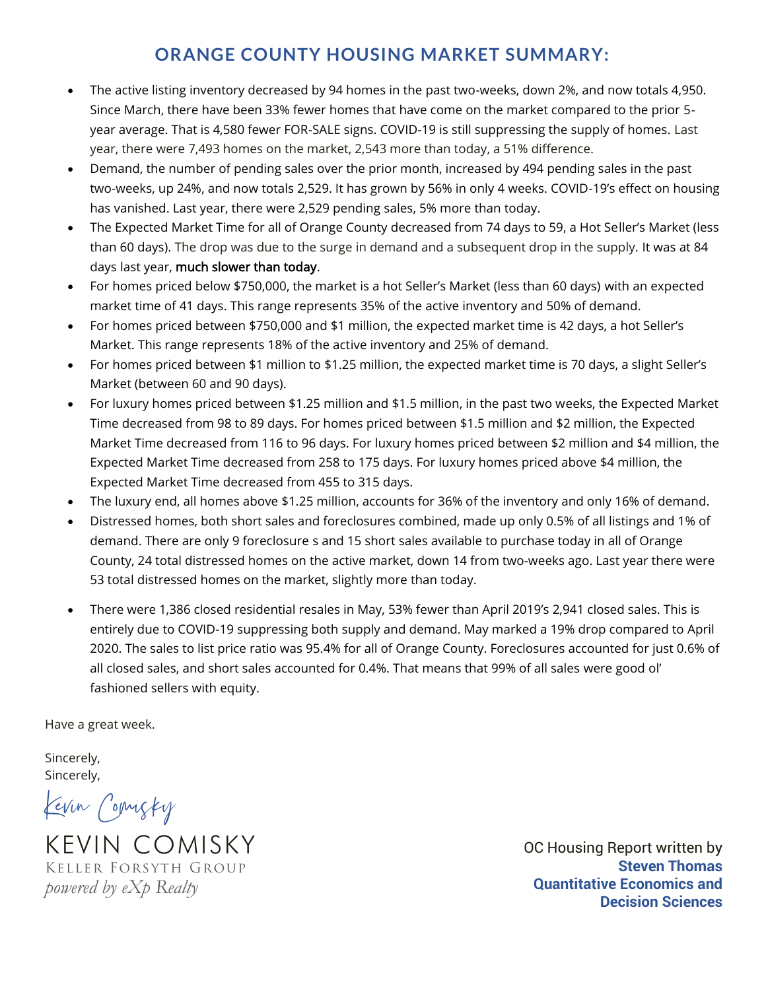#### **ORANGE COUNTY HOUSING MARKET SUMMARY:**

- The active listing inventory decreased by 94 homes in the past two-weeks, down 2%, and now totals 4,950. Since March, there have been 33% fewer homes that have come on the market compared to the prior 5 year average. That is 4,580 fewer FOR-SALE signs. COVID-19 is still suppressing the supply of homes. Last year, there were 7,493 homes on the market, 2,543 more than today, a 51% difference.
- Demand, the number of pending sales over the prior month, increased by 494 pending sales in the past two-weeks, up 24%, and now totals 2,529. It has grown by 56% in only 4 weeks. COVID-19's effect on housing has vanished. Last year, there were 2,529 pending sales, 5% more than today.
- The Expected Market Time for all of Orange County decreased from 74 days to 59, a Hot Seller's Market (less than 60 days). The drop was due to the surge in demand and a subsequent drop in the supply. It was at 84 days last year, much slower than today.
- For homes priced below \$750,000, the market is a hot Seller's Market (less than 60 days) with an expected market time of 41 days. This range represents 35% of the active inventory and 50% of demand.
- For homes priced between \$750,000 and \$1 million, the expected market time is 42 days, a hot Seller's Market. This range represents 18% of the active inventory and 25% of demand.
- For homes priced between \$1 million to \$1.25 million, the expected market time is 70 days, a slight Seller's Market (between 60 and 90 days).
- For luxury homes priced between \$1.25 million and \$1.5 million, in the past two weeks, the Expected Market Time decreased from 98 to 89 days. For homes priced between \$1.5 million and \$2 million, the Expected Market Time decreased from 116 to 96 days. For luxury homes priced between \$2 million and \$4 million, the Expected Market Time decreased from 258 to 175 days. For luxury homes priced above \$4 million, the Expected Market Time decreased from 455 to 315 days.
- The luxury end, all homes above \$1.25 million, accounts for 36% of the inventory and only 16% of demand.
- Distressed homes, both short sales and foreclosures combined, made up only 0.5% of all listings and 1% of demand. There are only 9 foreclosure s and 15 short sales available to purchase today in all of Orange County, 24 total distressed homes on the active market, down 14 from two-weeks ago. Last year there were 53 total distressed homes on the market, slightly more than today.
- There were 1,386 closed residential resales in May, 53% fewer than April 2019's 2,941 closed sales. This is entirely due to COVID-19 suppressing both supply and demand. May marked a 19% drop compared to April 2020. The sales to list price ratio was 95.4% for all of Orange County. Foreclosures accounted for just 0.6% of all closed sales, and short sales accounted for 0.4%. That means that 99% of all sales were good ol' fashioned sellers with equity.

Have a great week.

Sincerely, Sincerely,

Kevin Comisky

KEVIN COMISKY Keller Forsyth Group *powered by eXp Realty*

OC Housing Report written by **Steven Thomas Quantitative Economics and Decision Sciences**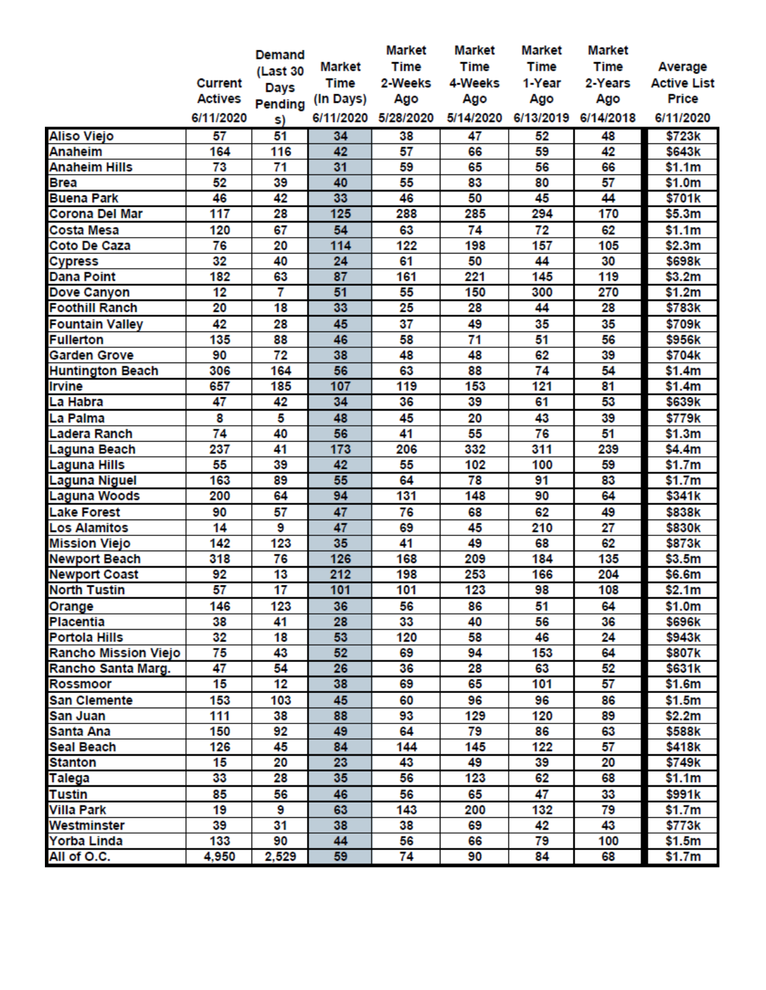|                         |                | <b>Demand</b>   |               | <b>Market</b>       | <b>Market</b> | <b>Market</b> | <b>Market</b>       |                    |
|-------------------------|----------------|-----------------|---------------|---------------------|---------------|---------------|---------------------|--------------------|
|                         |                | (Last 30        | <b>Market</b> | <b>Time</b>         | <b>Time</b>   | <b>Time</b>   | <b>Time</b>         | Average            |
|                         | <b>Current</b> | Days            | <b>Time</b>   | 2-Weeks             | 4-Weeks       | 1-Year        | 2-Years             | <b>Active List</b> |
|                         | <b>Actives</b> | Pending         | (In Days)     | Ago                 | Ago           | Ago           | Ago                 | <b>Price</b>       |
|                         | 6/11/2020      | s)              |               | 6/11/2020 5/28/2020 | 5/14/2020     |               | 6/13/2019 6/14/2018 | 6/11/2020          |
| <b>Aliso Viejo</b>      | 57             | 51              | 34            | 38                  | 47            | 52            | 48                  | \$723k             |
| <b>Anaheim</b>          | 164            | 116             | 42            | 57                  | 66            | 59            | 42                  | \$643k             |
| <b>Anaheim Hills</b>    | 73             | 71              | 31            | 59                  | 65            | 56            | 66                  | \$1.1m             |
| <b>Brea</b>             | 52             | 39              | 40            | 55                  | 83            | 80            | 57                  | \$1.0m             |
| <b>Buena Park</b>       | 46             | 42              | 33            | 46                  | 50            | 45            | 44                  | \$701k             |
| Corona Del Mar          | 117            | 28              | 125           | 288                 | 285           | 294           | 170                 | \$5.3m             |
| Costa Mesa              | 120            | 67              | 54            | 63                  | 74            | 72            | 62                  | \$1.1m             |
| Coto De Caza            | 76             | 20              | 114           | 122                 | 198           | 157           | 105                 | \$2.3m             |
| <b>Cypress</b>          | 32             | 40              | 24            | 61                  | 50            | 44            | 30                  | \$698k             |
| <b>Dana Point</b>       | 182            | 63              | 87            | 161                 | 221           | 145           | 119                 | \$3.2m             |
| Dove Canyon             | 12             | 7               | 51            | 55                  | 150           | 300           | 270                 | \$1.2m             |
| <b>Foothill Ranch</b>   | 20             | 18              | 33            | 25                  | 28            | 44            | 28                  | \$783k             |
| <b>Fountain Valley</b>  | 42             | 28              | 45            | 37                  | 49            | 35            | 35                  | \$709k             |
| <b>Fullerton</b>        | 135            | 88              | 46            | 58                  | 71            | 51            | 56                  | \$956k             |
| <b>Garden Grove</b>     | 90             | 72              | 38            | 48                  | 48            | 62            | 39                  | \$704k             |
| <b>Huntington Beach</b> | 306            | 164             | 56            | 63                  | 88            | 74            | 54                  | \$1.4m             |
| <b>Irvine</b>           | 657            | 185             | 107           | 119                 | 153           | 121           | 81                  | \$1.4m             |
| La Habra                | 47             | 42              | 34            | 36                  | 39            | 61            | 53                  | \$639k             |
| La Palma                | 8              | 5               | 48            | 45                  | 20            | 43            | 39                  | \$779k             |
| Ladera Ranch            | 74             | 40              | 56            | 41                  | 55            | 76            | 51                  | \$1.3m             |
| Laguna Beach            | 237            | 41              | 173           | 206                 | 332           | 311           | 239                 | \$4.4m             |
| Laguna Hills            | 55             | 39              | 42            | 55                  | 102           | 100           | 59                  | \$1.7m             |
| Laguna Niguel           | 163            | 89              | 55            | 64                  | 78            | 91            | 83                  | \$1.7m             |
| Laguna Woods            | 200            | 64              | 94            | 131                 | 148           | 90            | 64                  | \$341k             |
| <b>Lake Forest</b>      | 90             | 57              | 47            | 76                  | 68            | 62            | 49                  | \$838k             |
| <b>Los Alamitos</b>     | 14             | 9               | 47            | 69                  | 45            | 210           | 27                  | \$830k             |
| <b>Mission Viejo</b>    | 142            | 123             | 35            | 41                  | 49            | 68            | 62                  | \$873k             |
| <b>Newport Beach</b>    | 318            | 76              | 126           | 168                 | 209           | 184           | 135                 | \$3.5m             |
| <b>Newport Coast</b>    | 92             | 13              | 212           | 198                 | 253           | 166           | 204                 | \$6.6m             |
| <b>North Tustin</b>     | 57             | $\overline{17}$ | 101           | 101                 | 123           | 98            | 108                 | \$2.1m             |
| Orange                  | 146            | 123             | 36            | 56                  | 86            | 51            | 64                  | \$1.0m             |
| <b>Placentia</b>        | 38             | 41              | 28            | 33                  | 40            | 56            | 36                  | \$696k             |
| <b>Portola Hills</b>    | 32             | 18              | 53            | 120                 | 58            | 46            | 24                  | \$943k             |
| Rancho Mission Viejo    | 75             | 43              | 52            | 69                  | 94            | 153           | 64                  | \$807k             |
| Rancho Santa Marg.      | 47             | 54              | 26            | 36                  | 28            | 63            | 52                  | \$631k             |
| <b>Rossmoor</b>         | 15             | 12              | 38            | 69                  | 65            | 101           | 57                  | \$1.6m             |
| <b>San Clemente</b>     | 153            | 103             | 45            | 60                  | 96            | 96            | 86                  | \$1.5m             |
| San Juan                | 111            | 38              | 88            | 93                  | 129           | 120           | 89                  | \$2.2m             |
| Santa Ana               | 150            | 92              | 49            | 64                  | 79            | 86            | 63                  | \$588k             |
| Seal Beach              | 126            | 45              | 84            | 144                 | 145           | 122           | 57                  | \$418k             |
| <b>Stanton</b>          | 15             | 20              | 23            | 43                  | 49            | 39            | 20                  | \$749k             |
| <b>Talega</b>           | 33             | 28              | 35            | 56                  | 123           | 62            | 68                  | \$1.1m             |
| <b>Tustin</b>           | 85             | 56              | 46            | 56                  | 65            | 47            | 33                  | \$991k             |
| <b>Villa Park</b>       | 19             | 9               | 63            | 143                 | 200           | 132           | 79                  | \$1.7m             |
| Westminster             | 39             | 31              | 38            | 38                  | 69            | 42            | 43                  | \$773k             |
| Yorba Linda             | 133            | 90              | 44            | 56                  | 66            | 79            | 100                 | \$1.5m             |
| All of O.C.             | 4,950          | 2,529           | 59            | 74                  | 90            | 84            | 68                  | \$1.7m             |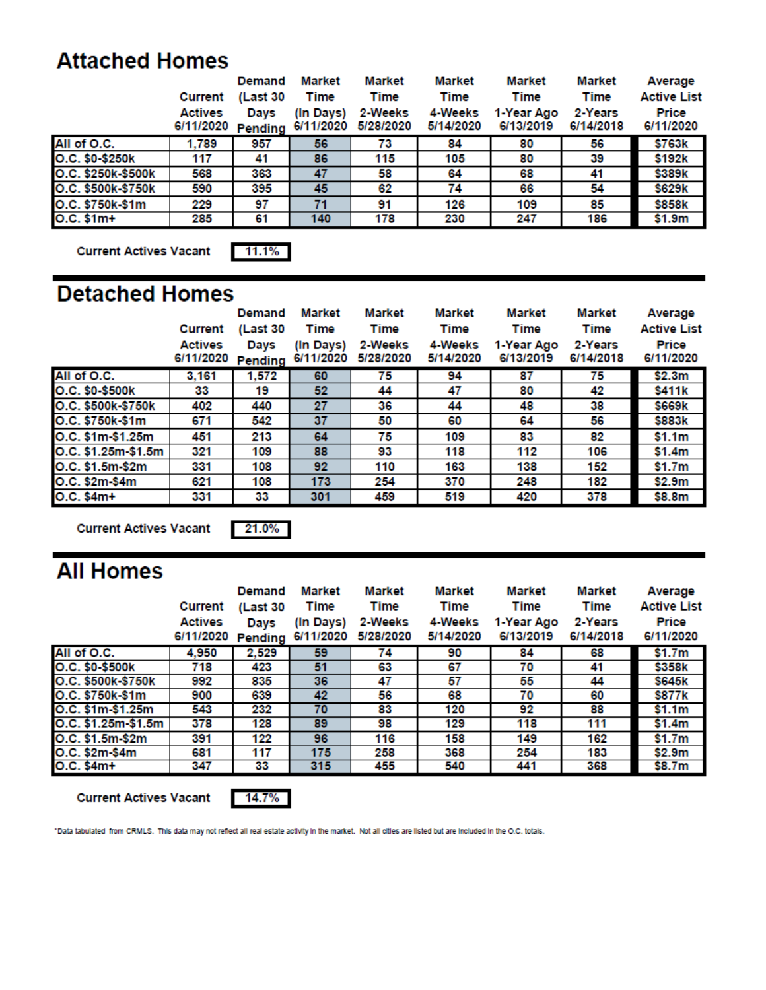### **Attached Homes**

|                    |                | Demand   | Market    | <b>Market</b> | <b>Market</b> | Market     | Market    | Average            |
|--------------------|----------------|----------|-----------|---------------|---------------|------------|-----------|--------------------|
|                    | Current        | (Last 30 | Time      | Time          | Time          | Time       | Time      | <b>Active List</b> |
|                    | <b>Actives</b> | Days     | (In Days) | 2-Weeks       | 4-Weeks       | 1-Year Ago | 2-Years   | Price              |
|                    | 6/11/2020      | Pending  | 6/11/2020 | 5/28/2020     | 5/14/2020     | 6/13/2019  | 6/14/2018 | 6/11/2020          |
| All of O.C.        | 1.789          | 957      | 56        | 73            | 84            | 80         | 56        | \$763k             |
| O.C. \$0-\$250k    | 117            | 41       | 86        | 115           | 105           | 80         | 39        | \$192k             |
| O.C. \$250k-\$500k | 568            | 363      | 47        | 58            | 64            | 68         | 41        | \$389k             |
| O.C. \$500k-\$750k | 590            | 395      | 45        | 62            | 74            | 66         | 54        | \$629k             |
| O.C. \$750k-\$1m   | 229            | 97       | 71        | 91            | 126           | 109        | 85        | \$858k             |
| $O.C. $1m+$        | 285            | 61       | 140       | 178           | 230           | 247        | 186       | \$1.9m             |

**Current Actives Vacant** 

 $11.1%$ 

### **Detached Homes**

|                     | Current<br><b>Actives</b><br>6/11/2020 | Demand<br>(Last 30<br>Days<br>Pending | Market<br><b>Time</b><br>(In Days)<br>6/11/2020 | Market<br>Time<br>2-Weeks<br>5/28/2020 | Market<br><b>Time</b><br>4-Weeks<br>5/14/2020 | Market<br><b>Time</b><br>1-Year Ago<br>6/13/2019 | Market<br><b>Time</b><br>2-Years<br>6/14/2018 | Average<br><b>Active List</b><br>Price<br>6/11/2020 |
|---------------------|----------------------------------------|---------------------------------------|-------------------------------------------------|----------------------------------------|-----------------------------------------------|--------------------------------------------------|-----------------------------------------------|-----------------------------------------------------|
| All of O.C.         | 3,161                                  | 1,572                                 | 60                                              | 75                                     | 94                                            | 87                                               | 75                                            | \$2.3m                                              |
| O.C. \$0-\$500k     | 33                                     | 19                                    | 52                                              | 44                                     | 47                                            | 80                                               | 42                                            | \$411k                                              |
| O.C. \$500k-\$750k  | 402                                    | 440                                   | 27                                              | 36                                     | 44                                            | 48                                               | 38                                            | \$669k                                              |
| O.C. \$750k-\$1m    | 671                                    | 542                                   | 37                                              | 50                                     | 60                                            | 64                                               | 56                                            | \$883k                                              |
| O.C. \$1m-\$1.25m   | 451                                    | 213                                   | 64                                              | 75                                     | 109                                           | 83                                               | 82                                            | \$1.1m                                              |
| O.C. \$1.25m-\$1.5m | 321                                    | 109                                   | 88                                              | 93                                     | 118                                           | 112                                              | 106                                           | \$1.4m                                              |
| O.C. \$1.5m-\$2m    | 331                                    | 108                                   | 92                                              | 110                                    | 163                                           | 138                                              | 152                                           | \$1.7m                                              |
| O.C. \$2m-\$4m      | 621                                    | 108                                   | 173                                             | 254                                    | 370                                           | 248                                              | 182                                           | \$2.9m                                              |
| O.C. \$4m+          | 331                                    | 33                                    | 301                                             | 459                                    | 519                                           | 420                                              | 378                                           | \$8.8m                                              |

**Current Actives Vacant** 

21.0%

## **All Homes**

|                     | Current                     | Demand<br>(Last 30     | <b>Market</b><br><b>Time</b> | <b>Market</b><br>Time | <b>Market</b><br>Time | Market<br>Time          | Market<br><b>Time</b> | Average<br><b>Active List</b> |
|---------------------|-----------------------------|------------------------|------------------------------|-----------------------|-----------------------|-------------------------|-----------------------|-------------------------------|
|                     | <b>Actives</b><br>6/11/2020 | Days<br><b>Pending</b> | (In Days)<br>6/11/2020       | 2-Weeks<br>5/28/2020  | 4-Weeks<br>5/14/2020  | 1-Year Ago<br>6/13/2019 | 2-Years<br>6/14/2018  | Price<br>6/11/2020            |
| All of O.C.         | 4,950                       | 2,529                  | 59                           | 74                    | 90                    | 84                      | 68                    | \$1.7m                        |
| O.C. \$0-\$500k     | 718                         | 423                    | 51                           | 63                    | 67                    | 70                      | 41                    | \$358k                        |
| O.C. \$500k-\$750k  | 992                         | 835                    | 36                           | 47                    | 57                    | 55                      | 44                    | \$645k                        |
| O.C. \$750k-\$1m    | 900                         | 639                    | 42                           | 56                    | 68                    | 70                      | 60                    | \$877k                        |
| O.C. \$1m-\$1.25m   | 543                         | 232                    | 70                           | 83                    | 120                   | 92                      | 88                    | \$1.1m                        |
| O.C. \$1.25m-\$1.5m | 378                         | 128                    | 89                           | 98                    | 129                   | 118                     | 111                   | \$1.4m                        |
| O.C. \$1.5m-\$2m    | 391                         | 122                    | 96                           | 116                   | 158                   | 149                     | 162                   | \$1.7m                        |
| O.C. \$2m-\$4m      | 681                         | 117                    | 175                          | 258                   | 368                   | 254                     | 183                   | \$2.9m                        |
| $O.C. $4m+$         | 347                         | 33                     | 315                          | 455                   | 540                   | 441                     | 368                   | \$8.7m                        |

**Current Actives Vacant** 



"Data tabulated from CRMLS. This data may not reflect all real estate activity in the market. Not all cities are listed but are included in the O.C. totals.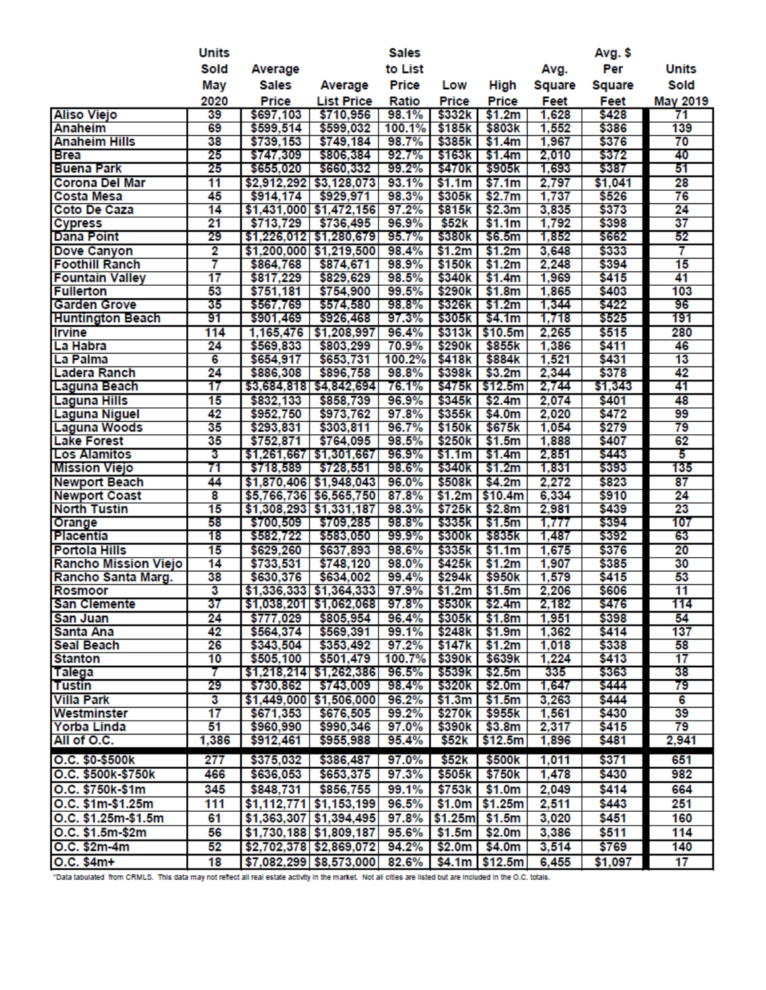|                         | <b>Units</b>            |             |                                      | <b>Sales</b> |                    |                    |        | Avg. \$ |                 |
|-------------------------|-------------------------|-------------|--------------------------------------|--------------|--------------------|--------------------|--------|---------|-----------------|
|                         | Sold                    | Average     |                                      | to List      |                    |                    | Avg.   | Per     | <b>Units</b>    |
|                         | May                     | Sales       | Average                              | Price        | Low                | High               | Square | Square  | Sold            |
|                         | 2020                    | Price       | <b>List Price</b>                    | Ratio        | Price              | Price              | Feet   | Feet    | May 2019        |
| <b>Aliso Viejo</b>      | 39                      | \$697,103   | \$710,956                            | 98.1%        | \$332k             | \$1.2m             | 1,628  | \$428   | 71              |
| Anaheim                 | 69                      | \$599,514   | \$599,032                            | 100.1%       | \$185k             | \$803k             | 1,552  | \$386   | 139             |
| <b>Anaheim Hills</b>    | 38                      | \$739,153   | \$749,184                            | 98.7%        | \$385k             | \$1.4m             | 1,967  | \$376   | 70              |
| <b>Brea</b>             | 25                      | \$747,309   | \$806,384                            | 92.7%        | \$163k             | \$1.4m             | 2,010  | \$372   | 40              |
| <b>Buena Park</b>       | 25                      | \$655,020   | \$660,332                            | 99.2%        | \$470k             | \$905k             | 1,693  | \$387   | 51              |
| <b>Corona Del Mar</b>   | 11                      | \$2,912,292 | \$3,128,073                          | 93.1%        | \$1.1m             | \$7.1m             | 2,797  | \$1,041 | 28              |
| <b>Costa Mesa</b>       | 45                      | \$914,174   | \$929,971                            | 98.3%        | \$305k             | \$2.7m             | 1,737  | \$526   | 76              |
| <b>Coto De Caza</b>     | 14                      |             | $$1,431,000$ $$1,472,156$            | 97.2%        | \$815k             | \$2.3m             | 3,835  | \$373   | 24              |
| <b>Cypress</b>          | 21                      | \$713,729   | \$736,495                            | 96.9%        | \$52 <sub>k</sub>  | \$1.1m             | 1,792  | \$398   | 37              |
| <b>Dana Point</b>       | 29                      |             | \$1,226,012 \$1,280,679              | 95.7%        | \$380k             | \$6.5m             | 1,852  | \$662   | 52              |
| Dove Canyon             | 2                       |             | \$1,200,000 \$1,219,500              | 98.4%        | \$1.2m             | \$1.2m             | 3,648  | \$333   | 7               |
| <b>Foothill Ranch</b>   | 7                       | \$864,768   | \$874,671                            | 98.9%        | \$150 <sub>k</sub> | \$1.2m             | 2,248  | \$394   | 15              |
| <b>Fountain Valley</b>  | $\overline{17}$         | \$817,229   | \$829,629                            | 98.5%        | \$340 <sub>k</sub> | \$1.4m             | 1,969  | \$415   | 41              |
| <b>Fullerton</b>        | 53                      | \$751,181   | \$754,900                            | 99.5%        | \$290k             | \$1.8m             | 1,865  | \$403   | 103             |
| <b>Garden Grove</b>     | 35                      | \$567,769   | \$574,580                            | 98.8%        | \$326k             | \$1.2m             | 1,344  | \$422   | 96              |
| <b>Huntington Beach</b> | 91                      | \$901,469   | \$926,468                            | 97.3%        | \$305k             | \$4.1m             | 1,718  | \$525   | 191             |
| <b>Irvine</b>           | 114                     | 1,165,476   | \$1,208,997                          | 96.4%        | \$313k             | \$10.5m            | 2,265  | \$515   | 280             |
| La Habra                | 24                      | \$569,833   | \$803,299                            | 70.9%        | \$290k             | \$855k             | 1,386  | \$411   | 46              |
| La Palma                | 6                       | \$654,917   | \$653,731                            | 100.2%       | \$418 <sub>k</sub> | \$884k             | 1,521  | \$431   | 13              |
| Ladera Ranch            | 24                      | \$886,308   | \$896,758                            | 98.8%        | \$398k             | \$3.2m             | 2,344  | \$378   | 42              |
| Laguna Beach            | 17                      |             | \$3,684,818 \$4,842,694              | 76.1%        | \$475k             | \$12.5m            | 2,744  | \$1,343 | 41              |
| <b>Laguna Hills</b>     | 15                      | \$832,133   | \$858,739                            | 96.9%        | \$345k             | \$2.4m             | 2,074  | \$401   | 48              |
| Laguna Niguel           | 42                      | \$952,750   | \$973,762                            | 97.8%        | \$355k             | \$4.0m             | 2,020  | \$472   | 99              |
| <b>Laguna Woods</b>     | 35                      | \$293,831   | \$303,811                            | 96.7%        | \$150k             | \$675k             | 1,054  | \$279   | 79              |
| <b>Lake Forest</b>      | 35                      | \$752,871   | \$764,095                            | 98.5%        | \$250k             | \$1.5m             | 1,888  | \$407   | 62              |
| <b>Los Alamitos</b>     | 3                       |             | \$1,261,667 \$1,301,667              | 96.9%        | \$1.1m             | \$1.4m             | 2,851  | \$443   | 5               |
| <b>Mission Viejo</b>    | 71                      | \$718,589   | \$728,551                            | 98.6%        | \$340k             | \$1.2m             | 1,831  | \$393   | 135             |
| <b>Newport Beach</b>    | 44                      |             | \$1,870,406 \$1,948,043              | 96.0%        | \$508k             | \$4.2m             | 2,272  | \$823   | 87              |
| <b>Newport Coast</b>    | 8                       |             | \$5,766,736 \$6,565,750              | 87.8%        | \$1.2m             | \$10.4m            | 6,334  | \$910   | 24              |
| <b>North Tustin</b>     | 15                      |             | $$1,308,293$ $$1,331,187$            | 98.3%        | \$725k             | \$2.8m             | 2,981  | \$439   | 23              |
| Orange                  | 58                      | \$700,509   | \$709,285                            | 98.8%        | \$335k             | \$1.5m             | 1,777  | \$394   | 107             |
| Placentia               | 18                      | \$582,722   | \$583,050                            | 99.9%        | \$300k             | \$835k             | 1,487  | \$392   | 63              |
| <b>Portola Hills</b>    | 15                      | \$629,260   | \$637,893                            | 98.6%        | \$335k             | \$1.1m             | 1,675  | \$376   | 20              |
| Rancho Mission Viejo    | 14                      | \$733,531   | \$748,120                            | 98.0%        | \$425k             | \$1.2m             | 1,907  | \$385   | 30              |
| Rancho Santa Marg.      | 38                      | \$630,376   | \$634,002                            | 99.4%        | \$294k             | \$950k             | 1,579  | \$415   | 53              |
| <b>Rosmoor</b>          | $\overline{\mathbf{3}}$ |             | $$1,336,333$ $$1,364,333$            | 97.9%        | \$1.2m             | \$1.5m             | 2,206  | \$606   | 11              |
| <b>San Clemente</b>     | 37                      |             | \$1,038,201 \$1,062,068 97.8% \$530k |              |                    | \$2.4m             | 2,182  | \$476   | 114             |
| <b>San Juan</b>         | 24                      | \$777,029   | \$805,954                            | 96.4%        | \$305k             | \$1.8m             | 1,951  | \$398   | 54              |
| Santa Ana               | 42                      | \$564,374   | \$569,391                            | 99.1%        | \$248k             | \$1.9m             | 1,362  | \$414   | 137             |
| <b>Seal Beach</b>       | 26                      | \$343,504   | \$353,492                            | 97.2%        | \$147k             | \$1.2m             | 1,018  | \$338   | 58              |
| <b>Stanton</b>          | 10                      | \$505,100   | \$501,479                            | 100.7%       | \$390k             | \$639k             | 1,224  | \$413   | $\overline{17}$ |
| Talega                  | 7                       |             | $$1,218,214$ $$1,262,386$ 96.5%      |              | \$539k             | \$2.5m             | 335    | \$363   | 38              |
| <b>Tustin</b>           | 29                      | \$730,862   | \$743,009                            | 98.4%        | \$320k             | \$2.0m             | 1,647  | \$444   | 79              |
| <b>Villa Park</b>       | 3                       |             | \$1,449,000 \$1,506,000              | 96.2%        | \$1.3m             | \$1.5m             | 3,263  | \$444   | 6               |
| Westminster             | 17                      | \$671,353   | \$676,505                            | 99.2%        | \$270 <sub>k</sub> | \$955k             | 1,561  | \$430   | 39              |
| Yorba Linda             | 51                      | \$960,990   | \$990,346                            | 97.0%        | \$390k             | \$3.8m             | 2,317  | \$415   | 79              |
| All of O.C.             | 1,386                   | \$912,461   | \$955,988                            | 95.4%        | \$52 <sub>k</sub>  | \$12.5m            | 1,896  | \$481   | 2,941           |
| O.C. \$0-\$500k         | 277                     | \$375,032   | \$386,487                            | 97.0%        | \$52k              | \$500 <sub>k</sub> | 1,011  | \$371   | 651             |
| O.C. \$500k-\$750k      | 466                     | \$636,053   | \$653,375                            | 97.3%        | \$505k             | \$750k             | 1,478  | \$430   | 982             |
| O.C. \$750k-\$1m        | 345                     | \$848,731   | \$856,755                            | 99.1%        | \$753k             | \$1.0m             | 2,049  | \$414   | 664             |
| O.C. \$1m-\$1.25m       | 111                     |             | $$1,112,771$ $$1,153,199$            | 96.5%        | \$1.0m             | \$1.25m            | 2,511  | \$443   | 251             |
| O.C. \$1.25m-\$1.5m     | 61                      |             | \$1,363,307 \$1,394,495              | 97.8%        | \$1.25m            | \$1.5m             | 3,020  | \$451   | 160             |
| O.C. \$1.5m-\$2m        | 56                      |             |                                      |              |                    |                    | 3,386  |         | 114             |
|                         |                         |             | \$1,730,188 \$1,809,187              | 95.6%        | \$1.5m             | \$2.0m             |        | \$511   |                 |
| O.C. \$2m-4m            | 52                      |             | \$2,702,378 \$2,869,072              | 94.2%        | \$2.0m             | \$4.0m             | 3,514  | \$769   | 140             |
| O.C. \$4m+              | 18                      |             | \$7,082,299 \$8,573,000 82.6%        |              |                    | $$4.1m$ $$12.5m$   | 6,455  | \$1,097 | 17              |

\*Data tabulated from CRMLS. This data may not reflect all real estate activity in the market. Not all cities are listed but are included in the O.C. totals.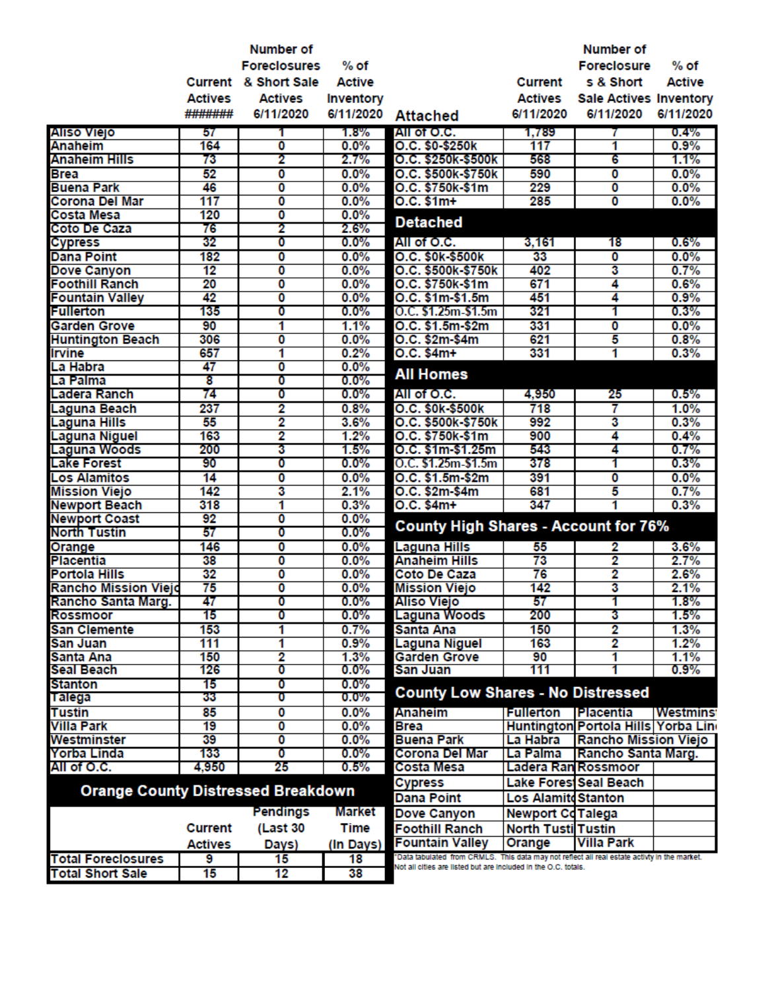|                                           |                 | <b>Number of</b>    |               |                                                                                              |                            | <b>Number of</b>                    |                 |
|-------------------------------------------|-----------------|---------------------|---------------|----------------------------------------------------------------------------------------------|----------------------------|-------------------------------------|-----------------|
|                                           |                 | <b>Foreclosures</b> | $%$ of        |                                                                                              |                            | <b>Foreclosure</b>                  | $%$ of          |
|                                           | Current         | & Short Sale        | <b>Active</b> |                                                                                              | Current                    | s & Short                           | <b>Active</b>   |
|                                           | <b>Actives</b>  | <b>Actives</b>      | Inventory     |                                                                                              | Actives                    | <b>Sale Actives Inventory</b>       |                 |
|                                           | #######         | 6/11/2020           | 6/11/2020     | <b>Attached</b>                                                                              | 6/11/2020                  | 6/11/2020                           | 6/11/2020       |
| Aliso Viejo                               |                 |                     | 1.8%          | All of O.C.                                                                                  | 1,789                      |                                     | 0.4%            |
| <b>Anaheim</b>                            | 57<br>164       | 0                   | 0.0%          | O.C. \$0-\$250k                                                                              | 117                        | 1                                   | 0.9%            |
| Anaheim Hills                             | 73              | 2                   | 2.7%          | O.C. \$250k-\$500k                                                                           | 568                        | 6                                   | 1.1%            |
| <b>Brea</b>                               | 52              | 0                   | 0.0%          | O.C. \$500k-\$750k                                                                           | 590                        | 0                                   | 0.0%            |
| <b>Buena Park</b>                         | 46              | 0                   | 0.0%          | O.C. \$750k-\$1m                                                                             | 229                        | 0                                   | 0.0%            |
| <b>Corona Del Mar</b>                     | 117             | 0                   | 0.0%          | $O.C. $1m+$                                                                                  | 285                        | $\overline{\mathbf{0}}$             | 0.0%            |
| <b>Costa Mesa</b>                         | 120             | O                   | 0.0%          |                                                                                              |                            |                                     |                 |
| Coto De Caza                              | 76              | 2                   | 2.6%          | <b>Detached</b>                                                                              |                            |                                     |                 |
| <b>Cypress</b>                            | 32              | 0                   | 0.0%          | All of O.C.                                                                                  | 3,161                      | 18                                  | $0.6\%$         |
| <b>Dana Point</b>                         | 182             | O                   | 0.0%          | O.C. \$0k \$500k                                                                             | 33                         | $\overline{\mathbf{0}}$             | 0.0%            |
| Dove Canyon                               | $\overline{12}$ | 0                   | 0.0%          | O.C. \$500k-\$750k                                                                           | 402                        | 3                                   | 0.7%            |
| <b>Foothill Ranch</b>                     | 20              | 0                   | 0.0%          | O.C. \$750k-\$1m                                                                             | 671                        | 4                                   | 0.6%            |
| <b>Fountain Valley</b>                    | 42              | 0                   | 0.0%          | O.C. \$1m \$1.5m                                                                             | 451                        | 4                                   | 0.9%            |
| <b>Fullerton</b>                          | 135             | 0                   | 0.0%          | O.C. \$1.25m-\$1.5m                                                                          | 321                        | 1                                   | 0.3%            |
| <b>Garden Grove</b>                       | 90              | 1                   | 1.1%          | O.C. \$1.5m-\$2m                                                                             | 331                        | 0                                   | 0.0%            |
| <b>Huntington Beach</b>                   | 306             | 0                   | 0.0%          | O.C. \$2m-\$4m                                                                               | 621                        | 5                                   | 0.8%            |
| <b>Irvine</b>                             | 657             | 1                   | 0.2%          | $O.C. $4m+$                                                                                  | 331                        | 1                                   | 0.3%            |
| La Habra                                  | 47              | O                   | 0.0%          |                                                                                              |                            |                                     |                 |
| La Palma                                  | 8               | 0                   | 0.0%          | <b>All Homes</b>                                                                             |                            |                                     |                 |
| Ladera Ranch                              | 74              | 0                   | 0.0%          | All of O.C.                                                                                  | 4,950                      | 25                                  | 0.5%            |
| <b>Laguna Beach</b>                       | 237             | 2                   | 0.8%          | O.C. \$0k \$500k                                                                             | 718                        | 7                                   | 1.0%            |
| <b>Laguna Hills</b>                       | 55              | 2                   | 3.6%          | O.C. \$500k-\$750k                                                                           | 992                        | 3                                   | 0.3%            |
| <b>Laguna Niguel</b>                      | 163             | 2                   | 1.2%          | O.C. \$750k-\$1m                                                                             | 900                        | 4                                   | 0.4%            |
| <b>Laguna Woods</b>                       | 200             | 3                   | 1.5%          | O.C. \$1m-\$1.25m                                                                            | 543                        | 4                                   | 0.7%            |
| <b>Lake Forest</b>                        | 90              | 0                   | 0.0%          | O.C. \$1.25m-\$1.5m                                                                          | 378                        | 1                                   | 0.3%            |
| <b>Los Alamitos</b>                       | 14              | 0                   | 0.0%          | O.C. \$1.5m-\$2m                                                                             | 391                        | 0                                   | 0.0%            |
| <b>Mission Viejo</b>                      | 142             | 3                   | 2.1%          | O.C. \$2m-\$4m                                                                               | 681                        | 5                                   | 0.7%            |
| <b>Newport Beach</b>                      | 318             | 1                   | 0.3%          | $O.C. $4m+$                                                                                  | 347                        |                                     | 0.3%            |
| <b>Newport Coast</b>                      | 92              | 0                   | 0.0%          | <b>County High Shares - Account for 76%</b>                                                  |                            |                                     |                 |
| <b>North Tustin</b>                       | 57              | 0                   | 0.0%          |                                                                                              |                            |                                     |                 |
| Orange                                    | 146             | O                   | 0.0%          | <b>Laguna Hills</b>                                                                          | 55                         | 2                                   | 3.6%            |
| <b>Placentia</b>                          | 38              | 0                   | 0.0%          | <b>Anaheim Hills</b>                                                                         | 73                         | 2                                   | 2.7%            |
| <b>Portola Hills</b>                      | 32              | Ō                   | 0.0%          | <b>Coto De Caza</b>                                                                          | $\overline{76}$            | 2                                   | 2.6%            |
| <b>Rancho Mission Viejo</b>               | 75              | Ō                   | 0.0%          | <b>Mission Viejo</b>                                                                         | 142                        | 3                                   | 2.1%            |
| Rancho Santa Marg.                        | 47              | 0                   | 0.0%          | Aliso Viejo                                                                                  | 57                         |                                     | 1.8%            |
| Rossmoor                                  | 15              | 0                   | $0.0\%$       | <b>Laguna Woods</b>                                                                          | 200                        | 3                                   | 1.5%            |
| <b>San Clemente</b>                       | 153             | 1                   | 0.7%          | Santa Ana                                                                                    | 150                        | 2                                   | 1.3%            |
| San Juan                                  | 111             | 1                   | $0.9\%$       | Laguna Niguel                                                                                | 163                        | 2                                   | 1.2%            |
| Santa Ana                                 | 150             | 2                   | 1.3%          | <b>Garden Grove</b>                                                                          | 90                         | 1                                   | 1.1%            |
| <b>Seal Beach</b>                         | 126             | O                   | $0.0\%$       | San Juan                                                                                     | 111                        |                                     | $0.9\%$         |
| <b>Stanton</b>                            | 15              | 0                   | $0.0\%$       | <b>County Low Shares - No Distressed</b>                                                     |                            |                                     |                 |
| Talega                                    | 33              | o                   | $0.0\%$       |                                                                                              |                            |                                     |                 |
| <b>Tustin</b>                             | 85              | 0                   | 0.0%          | Anaheim                                                                                      | <b>Fullerton</b>           | <b>Placentia</b>                    | <b>Westmins</b> |
| <b>Villa Park</b>                         | 19              | 0                   | $0.0\%$       | Brea                                                                                         |                            | Huntington Portola Hills Yorba Line |                 |
| Westminster                               | 39              | 0                   | 0.0%          | <b>Buena Park</b>                                                                            | La Habra                   | Rancho Mission Viejo                |                 |
| Yorba Linda                               | 133             | 0                   | 0.0%          | Corona Del Mar                                                                               | La Palma                   | Rancho Santa Marg.                  |                 |
| All of O.C.                               | 4,950           | 25                  | 0.5%          | Costa Mesa                                                                                   | Ladera Ran Rossmoor        |                                     |                 |
| <b>Orange County Distressed Breakdown</b> |                 |                     |               | <b>Cypress</b>                                                                               |                            | Lake Forest Seal Beach              |                 |
|                                           |                 |                     |               | <b>Dana Point</b>                                                                            | <b>Los Alamite Stanton</b> |                                     |                 |
|                                           |                 | <b>Pendings</b>     | Market        | Dove Canyon                                                                                  | <b>Newport CoTalega</b>    |                                     |                 |
|                                           | <b>Current</b>  | (Last 30            | Time          | <b>Foothill Ranch</b>                                                                        | <b>North Tusti Tustin</b>  |                                     |                 |
|                                           | <b>Actives</b>  | Days)               | (In Days)     | <b>Fountain Valley</b>                                                                       | Orange                     | <b>Villa Park</b>                   |                 |
| <b>Total Foreclosures</b>                 | 9               | 15                  | 18            | "Data tabulated from CRMLS. This data may not reflect all real estate activty in the market. |                            |                                     |                 |
| <b>Total Short Sale</b>                   | 15              | 12                  | 38            | Not all cities are listed but are included in the O.C. totals.                               |                            |                                     |                 |